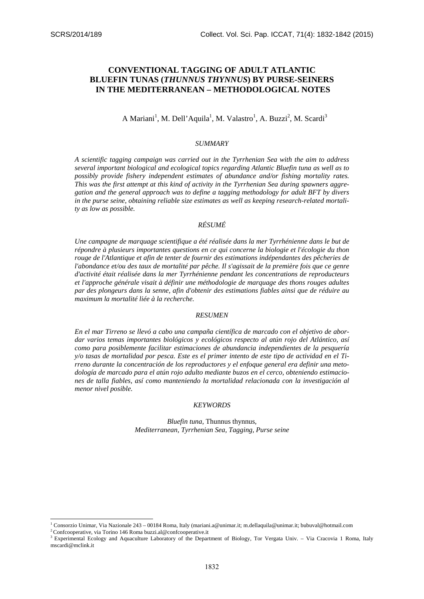# **CONVENTIONAL TAGGING OF ADULT ATLANTIC BLUEFIN TUNAS (***THUNNUS THYNNUS***) BY PURSE-SEINERS IN THE MEDITERRANEAN – METHODOLOGICAL NOTES**

A Mariani<sup>1</sup>, M. Dell'Aquila<sup>1</sup>, M. Valastro<sup>1</sup>, A. Buzzi<sup>2</sup>, M. Scardi<sup>3</sup>

## *SUMMARY*

*A scientific tagging campaign was carried out in the Tyrrhenian Sea with the aim to address several important biological and ecological topics regarding Atlantic Bluefin tuna as well as to possibly provide fishery independent estimates of abundance and/or fishing mortality rates. This was the first attempt at this kind of activity in the Tyrrhenian Sea during spawners aggregation and the general approach was to define a tagging methodology for adult BFT by divers in the purse seine, obtaining reliable size estimates as well as keeping research-related mortality as low as possible.* 

## *RÉSUMÉ*

*Une campagne de marquage scientifique a été réalisée dans la mer Tyrrhénienne dans le but de répondre à plusieurs importantes questions en ce qui concerne la biologie et l'écologie du thon rouge de l'Atlantique et afin de tenter de fournir des estimations indépendantes des pêcheries de l'abondance et/ou des taux de mortalité par pêche. Il s'agissait de la première fois que ce genre d'activité était réalisée dans la mer Tyrrhénienne pendant les concentrations de reproducteurs et l'approche générale visait à définir une méthodologie de marquage des thons rouges adultes par des plongeurs dans la senne, afin d'obtenir des estimations fiables ainsi que de réduire au maximum la mortalité liée à la recherche.* 

### *RESUMEN*

*En el mar Tirreno se llevó a cabo una campaña científica de marcado con el objetivo de abordar varios temas importantes biológicos y ecológicos respecto al atún rojo del Atlántico, así como para posiblemente facilitar estimaciones de abundancia independientes de la pesquería y/o tasas de mortalidad por pesca. Este es el primer intento de este tipo de actividad en el Tirreno durante la concentración de los reproductores y el enfoque general era definir una metodología de marcado para el atún rojo adulto mediante buzos en el cerco, obteniendo estimaciones de talla fiables, así como manteniendo la mortalidad relacionada con la investigación al menor nivel posible.*

### *KEYWORDS*

*Bluefin tuna,* Thunnus thynnus*, Mediterranean, Tyrrhenian Sea, Tagging, Purse seine* 

<sup>—&</sup>lt;br><sup>1</sup> Consorzio Unimar, Via Nazionale 243 – 00184 Roma, Italy (mariani.a@unimar.it; m.dellaquila@unimar.it; bubuval@hotmail.com<br><sup>2</sup> Confcooperative, via Torino 146 Roma buzzi.al@confcooperative.it

<sup>&</sup>lt;sup>2</sup> Confcooperative, via Torino 146 Roma buzzi al@confcooperative it<br><sup>3</sup> Experimental Ecology and Aquaculture Laboratory of the Department of Biology, Tor Vergata Univ. – Via Cracovia 1 Roma, Italy mscardi@mclink.it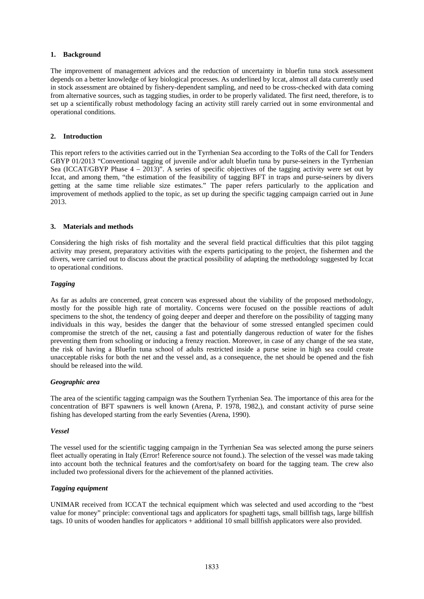## **1. Background**

The improvement of management advices and the reduction of uncertainty in bluefin tuna stock assessment depends on a better knowledge of key biological processes. As underlined by Iccat, almost all data currently used in stock assessment are obtained by fishery-dependent sampling, and need to be cross-checked with data coming from alternative sources, such as tagging studies, in order to be properly validated. The first need, therefore, is to set up a scientifically robust methodology facing an activity still rarely carried out in some environmental and operational conditions.

## **2. Introduction**

This report refers to the activities carried out in the Tyrrhenian Sea according to the ToRs of the Call for Tenders GBYP 01/2013 "Conventional tagging of juvenile and/or adult bluefin tuna by purse-seiners in the Tyrrhenian Sea (ICCAT/GBYP Phase  $4 - 2013$ )". A series of specific objectives of the tagging activity were set out by Iccat, and among them, "the estimation of the feasibility of tagging BFT in traps and purse-seiners by divers getting at the same time reliable size estimates." The paper refers particularly to the application and improvement of methods applied to the topic, as set up during the specific tagging campaign carried out in June 2013.

## **3. Materials and methods**

Considering the high risks of fish mortality and the several field practical difficulties that this pilot tagging activity may present, preparatory activities with the experts participating to the project, the fishermen and the divers, were carried out to discuss about the practical possibility of adapting the methodology suggested by Iccat to operational conditions.

## *Tagging*

As far as adults are concerned, great concern was expressed about the viability of the proposed methodology, mostly for the possible high rate of mortality. Concerns were focused on the possible reactions of adult specimens to the shot, the tendency of going deeper and deeper and therefore on the possibility of tagging many individuals in this way, besides the danger that the behaviour of some stressed entangled specimen could compromise the stretch of the net, causing a fast and potentially dangerous reduction of water for the fishes preventing them from schooling or inducing a frenzy reaction. Moreover, in case of any change of the sea state, the risk of having a Bluefin tuna school of adults restricted inside a purse seine in high sea could create unacceptable risks for both the net and the vessel and, as a consequence, the net should be opened and the fish should be released into the wild.

### *Geographic area*

The area of the scientific tagging campaign was the Southern Tyrrhenian Sea. The importance of this area for the concentration of BFT spawners is well known (Arena, P. 1978, 1982,), and constant activity of purse seine fishing has developed starting from the early Seventies (Arena, 1990).

### *Vessel*

The vessel used for the scientific tagging campaign in the Tyrrhenian Sea was selected among the purse seiners fleet actually operating in Italy (Error! Reference source not found.). The selection of the vessel was made taking into account both the technical features and the comfort/safety on board for the tagging team. The crew also included two professional divers for the achievement of the planned activities.

## *Tagging equipment*

UNIMAR received from ICCAT the technical equipment which was selected and used according to the "best value for money" principle: conventional tags and applicators for spaghetti tags, small billfish tags, large billfish tags. 10 units of wooden handles for applicators + additional 10 small billfish applicators were also provided.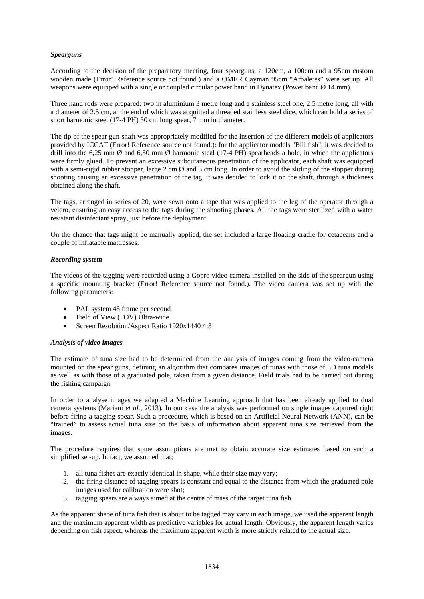## *Spearguns*

According to the decision of the preparatory meeting, four spearguns, a 120cm, a 100cm and a 95cm custom wooden made (Error! Reference source not found.) and a OMER Cayman 95cm "Arbaletes" were set up. All weapons were equipped with a single or coupled circular power band in Dynatex (Power band Ø 14 mm).

Three hand rods were prepared: two in aluminium 3 metre long and a stainless steel one, 2.5 metre long, all with a diameter of 2.5 cm, at the end of which was acquitted a threaded stainless steel dice, which can hold a series of short harmonic steel (17-4 PH) 30 cm long spear, 7 mm in diameter.

The tip of the spear gun shaft was appropriately modified for the insertion of the different models of applicators provided by ICCAT (Error! Reference source not found.): for the applicator models "Bill fish", it was decided to drill into the 6,25 mm  $\emptyset$  and 6,50 mm  $\emptyset$  harmonic steal (17-4 PH) spearheads a hole, in which the applicators were firmly glued. To prevent an excessive subcutaneous penetration of the applicator, each shaft was equipped with a semi-rigid rubber stopper, large 2 cm  $\varnothing$  and 3 cm long. In order to avoid the sliding of the stopper during shooting causing an excessive penetration of the tag, it was decided to lock it on the shaft, through a thickness obtained along the shaft.

The tags, arranged in series of 20, were sewn onto a tape that was applied to the leg of the operator through a velcro, ensuring an easy access to the tags during the shooting phases. All the tags were sterilized with a water resistant disinfectant spray, just before the deployment.

On the chance that tags might be manually applied, the set included a large floating cradle for cetaceans and a couple of inflatable mattresses.

## *Recording system*

The videos of the tagging were recorded using a Gopro video camera installed on the side of the speargun using a specific mounting bracket (Error! Reference source not found.). The video camera was set up with the following parameters:

- PAL system 48 frame per second
- Field of View (FOV) Ultra-wide
- Screen Resolution/Aspect Ratio 1920x1440 4:3

## *Analysis of video images*

The estimate of tuna size had to be determined from the analysis of images coming from the video-camera mounted on the spear guns, defining an algorithm that compares images of tunas with those of 3D tuna models as well as with those of a graduated pole, taken from a given distance. Field trials had to be carried out during the fishing campaign.

In order to analyse images we adapted a Machine Learning approach that has been already applied to dual camera systems (Mariani *et al.,* 2013). In our case the analysis was performed on single images captured right before firing a tagging spear. Such a procedure, which is based on an Artificial Neural Network (ANN), can be "trained" to assess actual tuna size on the basis of information about apparent tuna size retrieved from the images.

The procedure requires that some assumptions are met to obtain accurate size estimates based on such a simplified set-up. In fact, we assumed that;

- 1. all tuna fishes are exactly identical in shape, while their size may vary;
- 2. the firing distance of tagging spears is constant and equal to the distance from which the graduated pole images used for calibration were shot;
- 3. tagging spears are always aimed at the centre of mass of the target tuna fish.

As the apparent shape of tuna fish that is about to be tagged may vary in each image, we used the apparent length and the maximum apparent width as predictive variables for actual length. Obviously, the apparent length varies depending on fish aspect, whereas the maximum apparent width is more strictly related to the actual size.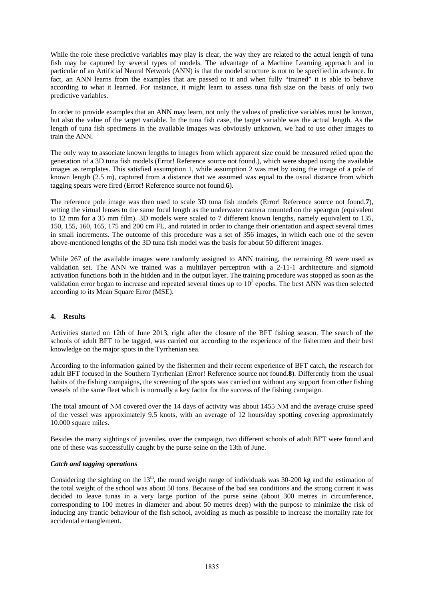While the role these predictive variables may play is clear, the way they are related to the actual length of tuna fish may be captured by several types of models. The advantage of a Machine Learning approach and in particular of an Artificial Neural Network (ANN) is that the model structure is not to be specified in advance. In fact, an ANN learns from the examples that are passed to it and when fully "trained" it is able to behave according to what it learned. For instance, it might learn to assess tuna fish size on the basis of only two predictive variables.

In order to provide examples that an ANN may learn, not only the values of predictive variables must be known, but also the value of the target variable. In the tuna fish case, the target variable was the actual length. As the length of tuna fish specimens in the available images was obviously unknown, we had to use other images to train the ANN.

The only way to associate known lengths to images from which apparent size could be measured relied upon the generation of a 3D tuna fish models (Error! Reference source not found.), which were shaped using the available images as templates. This satisfied assumption 1, while assumption 2 was met by using the image of a pole of known length (2.5 m), captured from a distance that we assumed was equal to the usual distance from which tagging spears were fired (Error! Reference source not found.**6**).

The reference pole image was then used to scale 3D tuna fish models (Error! Reference source not found.**7**), setting the virtual lenses to the same focal length as the underwater camera mounted on the speargun (equivalent to 12 mm for a 35 mm film). 3D models were scaled to 7 different known lengths, namely equivalent to 135, 150, 155, 160, 165, 175 and 200 cm FL, and rotated in order to change their orientation and aspect several times in small increments. The outcome of this procedure was a set of 356 images, in which each one of the seven above-mentioned lengths of the 3D tuna fish model was the basis for about 50 different images.

While 267 of the available images were randomly assigned to ANN training, the remaining 89 were used as validation set. The ANN we trained was a multilayer perceptron with a 2-11-1 architecture and sigmoid activation functions both in the hidden and in the output layer. The training procedure was stopped as soon as the validation error began to increase and repeated several times up to  $10^7$  epochs. The best ANN was then selected according to its Mean Square Error (MSE).

## **4. Results**

Activities started on 12th of June 2013, right after the closure of the BFT fishing season. The search of the schools of adult BFT to be tagged, was carried out according to the experience of the fishermen and their best knowledge on the major spots in the Tyrrhenian sea.

According to the information gained by the fishermen and their recent experience of BFT catch, the research for adult BFT focused in the Southern Tyrrhenian (Error! Reference source not found.**8**). Differently from the usual habits of the fishing campaigns, the screening of the spots was carried out without any support from other fishing vessels of the same fleet which is normally a key factor for the success of the fishing campaign.

The total amount of NM covered over the 14 days of activity was about 1455 NM and the average cruise speed of the vessel was approximately 9.5 knots, with an average of 12 hours/day spotting covering approximately 10.000 square miles.

Besides the many sightings of juveniles, over the campaign, two different schools of adult BFT were found and one of these was successfully caught by the purse seine on the 13th of June.

## *Catch and tagging operations*

Considering the sighting on the  $13<sup>th</sup>$ , the round weight range of individuals was 30-200 kg and the estimation of the total weight of the school was about 50 tons. Because of the bad sea conditions and the strong current it was decided to leave tunas in a very large portion of the purse seine (about 300 metres in circumference, corresponding to 100 metres in diameter and about 50 metres deep) with the purpose to minimize the risk of inducing any frantic behaviour of the fish school, avoiding as much as possible to increase the mortality rate for accidental entanglement.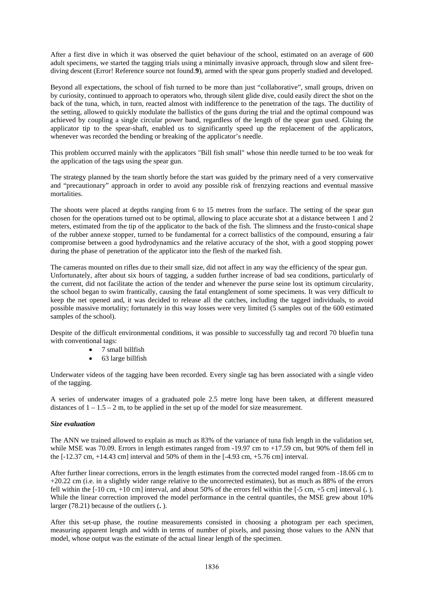After a first dive in which it was observed the quiet behaviour of the school, estimated on an average of 600 adult specimens, we started the tagging trials using a minimally invasive approach, through slow and silent freediving descent (Error! Reference source not found.**9**), armed with the spear guns properly studied and developed.

Beyond all expectations, the school of fish turned to be more than just "collaborative", small groups, driven on by curiosity, continued to approach to operators who, through silent glide dive, could easily direct the shot on the back of the tuna, which, in turn, reacted almost with indifference to the penetration of the tags. The ductility of the setting, allowed to quickly modulate the ballistics of the guns during the trial and the optimal compound was achieved by coupling a single circular power band, regardless of the length of the spear gun used. Gluing the applicator tip to the spear-shaft, enabled us to significantly speed up the replacement of the applicators, whenever was recorded the bending or breaking of the applicator's needle.

This problem occurred mainly with the applicators "Bill fish small" whose thin needle turned to be too weak for the application of the tags using the spear gun.

The strategy planned by the team shortly before the start was guided by the primary need of a very conservative and "precautionary" approach in order to avoid any possible risk of frenzying reactions and eventual massive mortalities.

The shoots were placed at depths ranging from 6 to 15 metres from the surface. The setting of the spear gun chosen for the operations turned out to be optimal, allowing to place accurate shot at a distance between 1 and 2 meters, estimated from the tip of the applicator to the back of the fish. The slimness and the frusto-conical shape of the rubber annexe stopper, turned to be fundamental for a correct ballistics of the compound, ensuring a fair compromise between a good hydrodynamics and the relative accuracy of the shot, with a good stopping power during the phase of penetration of the applicator into the flesh of the marked fish.

The cameras mounted on rifles due to their small size, did not affect in any way the efficiency of the spear gun. Unfortunately, after about six hours of tagging, a sudden further increase of bad sea conditions, particularly of the current, did not facilitate the action of the tender and whenever the purse seine lost its optimum circularity, the school began to swim frantically, causing the fatal entanglement of some specimens. It was very difficult to keep the net opened and, it was decided to release all the catches, including the tagged individuals, to avoid possible massive mortality; fortunately in this way losses were very limited (5 samples out of the 600 estimated samples of the school).

Despite of the difficult environmental conditions, it was possible to successfully tag and record 70 bluefin tuna with conventional tags:

- 7 small billfish
- 63 large billfish

Underwater videos of the tagging have been recorded. Every single tag has been associated with a single video of the tagging.

A series of underwater images of a graduated pole 2.5 metre long have been taken, at different measured distances of  $1 - 1.5 - 2$  m, to be applied in the set up of the model for size measurement.

### *Size evaluation*

The ANN we trained allowed to explain as much as 83% of the variance of tuna fish length in the validation set, while MSE was 70.09. Errors in length estimates ranged from -19.97 cm to +17.59 cm, but 90% of them fell in the  $[-12.37 \text{ cm}, +14.43 \text{ cm}]$  interval and 50% of them in the  $[-4.93 \text{ cm}, +5.76 \text{ cm}]$  interval.

After further linear corrections, errors in the length estimates from the corrected model ranged from -18.66 cm to +20.22 cm (i.e. in a slightly wider range relative to the uncorrected estimates), but as much as 88% of the errors fell within the [-10 cm, +10 cm] interval, and about 50% of the errors fell within the [-5 cm, +5 cm] interval (**.** ). While the linear correction improved the model performance in the central quantiles, the MSE grew about 10% larger (78.21) because of the outliers (**.** ).

After this set-up phase, the routine measurements consisted in choosing a photogram per each specimen, measuring apparent length and width in terms of number of pixels, and passing those values to the ANN that model, whose output was the estimate of the actual linear length of the specimen.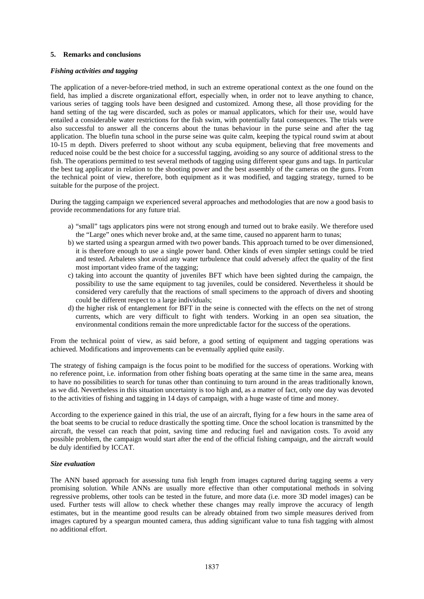## **5. Remarks and conclusions**

## *Fishing activities and tagging*

The application of a never-before-tried method, in such an extreme operational context as the one found on the field, has implied a discrete organizational effort, especially when, in order not to leave anything to chance, various series of tagging tools have been designed and customized. Among these, all those providing for the hand setting of the tag were discarded, such as poles or manual applicators, which for their use, would have entailed a considerable water restrictions for the fish swim, with potentially fatal consequences. The trials were also successful to answer all the concerns about the tunas behaviour in the purse seine and after the tag application. The bluefin tuna school in the purse seine was quite calm, keeping the typical round swim at about 10-15 m depth. Divers preferred to shoot without any scuba equipment, believing that free movements and reduced noise could be the best choice for a successful tagging, avoiding so any source of additional stress to the fish. The operations permitted to test several methods of tagging using different spear guns and tags. In particular the best tag applicator in relation to the shooting power and the best assembly of the cameras on the guns. From the technical point of view, therefore, both equipment as it was modified, and tagging strategy, turned to be suitable for the purpose of the project.

During the tagging campaign we experienced several approaches and methodologies that are now a good basis to provide recommendations for any future trial.

- a) "small" tags applicators pins were not strong enough and turned out to brake easily. We therefore used the "Large" ones which never broke and, at the same time, caused no apparent harm to tunas;
- b) we started using a speargun armed with two power bands. This approach turned to be over dimensioned, it is therefore enough to use a single power band. Other kinds of even simpler settings could be tried and tested. Arbaletes shot avoid any water turbulence that could adversely affect the quality of the first most important video frame of the tagging;
- c) taking into account the quantity of juveniles BFT which have been sighted during the campaign, the possibility to use the same equipment to tag juveniles, could be considered. Nevertheless it should be considered very carefully that the reactions of small specimens to the approach of divers and shooting could be different respect to a large individuals;
- d) the higher risk of entanglement for BFT in the seine is connected with the effects on the net of strong currents, which are very difficult to fight with tenders. Working in an open sea situation, the environmental conditions remain the more unpredictable factor for the success of the operations.

From the technical point of view, as said before, a good setting of equipment and tagging operations was achieved. Modifications and improvements can be eventually applied quite easily.

The strategy of fishing campaign is the focus point to be modified for the success of operations. Working with no reference point, i.e. information from other fishing boats operating at the same time in the same area, means to have no possibilities to search for tunas other than continuing to turn around in the areas traditionally known, as we did. Nevertheless in this situation uncertainty is too high and, as a matter of fact, only one day was devoted to the activities of fishing and tagging in 14 days of campaign, with a huge waste of time and money.

According to the experience gained in this trial, the use of an aircraft, flying for a few hours in the same area of the boat seems to be crucial to reduce drastically the spotting time. Once the school location is transmitted by the aircraft, the vessel can reach that point, saving time and reducing fuel and navigation costs. To avoid any possible problem, the campaign would start after the end of the official fishing campaign, and the aircraft would be duly identified by ICCAT.

## *Size evaluation*

The ANN based approach for assessing tuna fish length from images captured during tagging seems a very promising solution. While ANNs are usually more effective than other computational methods in solving regressive problems, other tools can be tested in the future, and more data (i.e. more 3D model images) can be used. Further tests will allow to check whether these changes may really improve the accuracy of length estimates, but in the meantime good results can be already obtained from two simple measures derived from images captured by a speargun mounted camera, thus adding significant value to tuna fish tagging with almost no additional effort.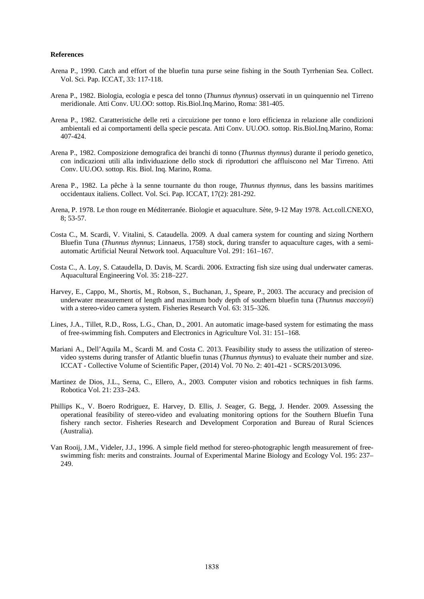### **References**

- Arena P., 1990. Catch and effort of the bluefin tuna purse seine fishing in the South Tyrrhenian Sea. Collect. Vol. Sci. Pap. ICCAT, 33: 117-118.
- Arena P., 1982. Biologia, ecologia e pesca del tonno (*Thunnus thynnus*) osservati in un quinquennio nel Tirreno meridionale. Atti Conv. UU.OO: sottop. Ris.Biol.Inq.Marino, Roma: 381-405.
- Arena P., 1982. Caratteristiche delle reti a circuizione per tonno e loro efficienza in relazione alle condizioni ambientali ed ai comportamenti della specie pescata. Atti Conv. UU.OO. sottop. Ris.Biol.Inq.Marino, Roma: 407-424.
- Arena P., 1982. Composizione demografica dei branchi di tonno (*Thunnus thynnus*) durante il periodo genetico, con indicazioni utili alla individuazione dello stock di riproduttori che affluiscono nel Mar Tirreno. Atti Conv. UU.OO. sottop. Ris. Biol. Inq. Marino, Roma.
- Arena P., 1982. La pêche à la senne tournante du thon rouge, *Thunnus thynnus*, dans les bassins maritimes occidentaux italiens. Collect. Vol. Sci. Pap. ICCAT, 17(2): 281-292.
- Arena, P. 1978. Le thon rouge en Méditerranée. Biologie et aquaculture. Sète, 9-12 May 1978. Act.coll.CNEXO, 8; 53-57.
- Costa C., M. Scardi, V. Vitalini, S. Cataudella. 2009. A dual camera system for counting and sizing Northern Bluefin Tuna (*Thunnus thynnus*; Linnaeus, 1758) stock, during transfer to aquaculture cages, with a semiautomatic Artificial Neural Network tool. Aquaculture Vol. 291: 161–167.
- Costa C., A. Loy, S. Cataudella, D. Davis, M. Scardi. 2006. Extracting fish size using dual underwater cameras. Aquacultural Engineering Vol. 35: 218–227.
- Harvey, E., Cappo, M., Shortis, M., Robson, S., Buchanan, J., Speare, P., 2003. The accuracy and precision of underwater measurement of length and maximum body depth of southern bluefin tuna (*Thunnus maccoyii*) with a stereo-video camera system. Fisheries Research Vol. 63: 315–326.
- Lines, J.A., Tillet, R.D., Ross, L.G., Chan, D., 2001. An automatic image-based system for estimating the mass of free-swimming fish. Computers and Electronics in Agriculture Vol. 31: 151–168.
- Mariani A., Dell'Aquila M., Scardi M. and Costa C. 2013. Feasibility study to assess the utilization of stereovideo systems during transfer of Atlantic bluefin tunas (*Thunnus thynnus*) to evaluate their number and size. ICCAT - Collective Volume of Scientific Paper, (2014) Vol. 70 No. 2: 401-421 - SCRS/2013/096.
- Martinez de Dios, J.L., Serna, C., Ellero, A., 2003. Computer vision and robotics techniques in fish farms. Robotica Vol. 21: 233–243.
- Phillips K., V. Boero Rodriguez, E. Harvey, D. Ellis, J. Seager, G. Begg, J. Hender. 2009. Assessing the operational feasibility of stereo-video and evaluating monitoring options for the Southern Bluefin Tuna fishery ranch sector. Fisheries Research and Development Corporation and Bureau of Rural Sciences (Australia).
- Van Rooij, J.M., Videler, J.J., 1996. A simple field method for stereo-photographic length measurement of freeswimming fish: merits and constraints. Journal of Experimental Marine Biology and Ecology Vol. 195: 237– 249.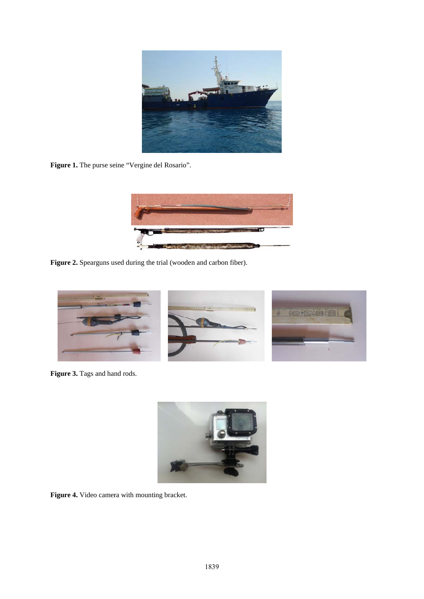

Figure 1. The purse seine "Vergine del Rosario".



Figure 2. Spearguns used during the trial (wooden and carbon fiber).



Figure 3. Tags and hand rods.



Figure 4. Video camera with mounting bracket.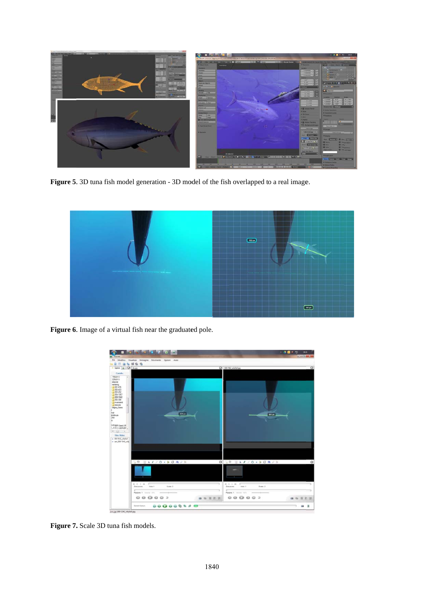

Figure 5. 3D tuna fish model generation - 3D model of the fish overlapped to a real image.



Figure 6. Image of a virtual fish near the graduated pole.



Figure 7. Scale 3D tuna fish models.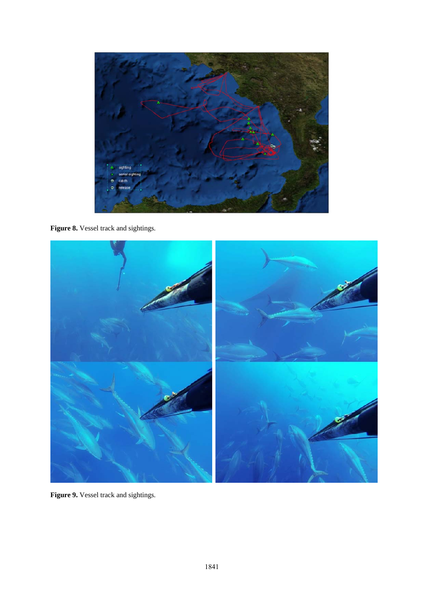

Figure 8. Vessel track and sightings.



Figure 9. Vessel track and sightings.